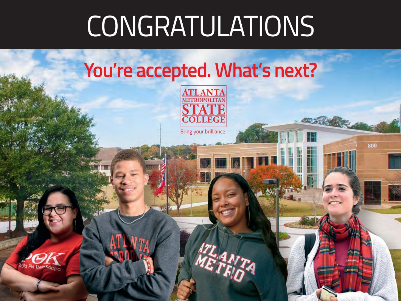# **CONGRATULATIONS**

# You're accepted. What's next?



800